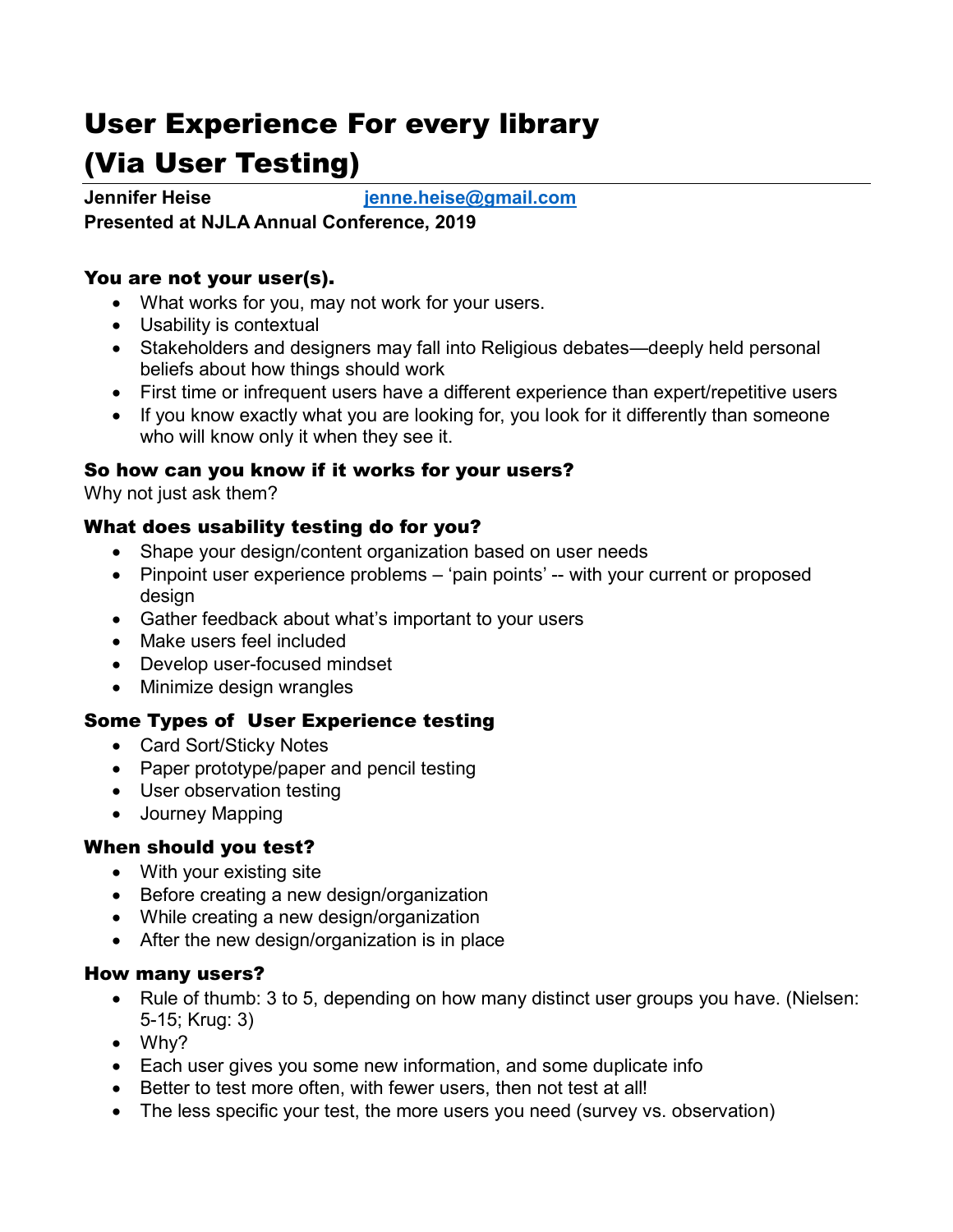# User Experience For every library (Via User Testing)

**Jennifer Heise [jenne.heise@gmail.com](mailto:jenne.heise@gmail.com) Presented at NJLA Annual Conference, 2019**

## You are not your user(s).

- What works for you, may not work for your users.
- Usability is contextual
- Stakeholders and designers may fall into Religious debates—deeply held personal beliefs about how things should work
- First time or infrequent users have a different experience than expert/repetitive users
- If you know exactly what you are looking for, you look for it differently than someone who will know only it when they see it.

## So how can you know if it works for your users?

Why not just ask them?

## What does usability testing do for you?

- Shape your design/content organization based on user needs
- Pinpoint user experience problems 'pain points' -- with your current or proposed design
- Gather feedback about what's important to your users
- Make users feel included
- Develop user-focused mindset
- Minimize design wrangles

## Some Types of User Experience testing

- Card Sort/Sticky Notes
- Paper prototype/paper and pencil testing
- User observation testing
- Journey Mapping

## When should you test?

- With your existing site
- Before creating a new design/organization
- While creating a new design/organization
- After the new design/organization is in place

#### How many users?

- Rule of thumb: 3 to 5, depending on how many distinct user groups you have. (Nielsen: 5-15; Krug: 3)
- Why?
- Each user gives you some new information, and some duplicate info
- Better to test more often, with fewer users, then not test at all!
- The less specific your test, the more users you need (survey vs. observation)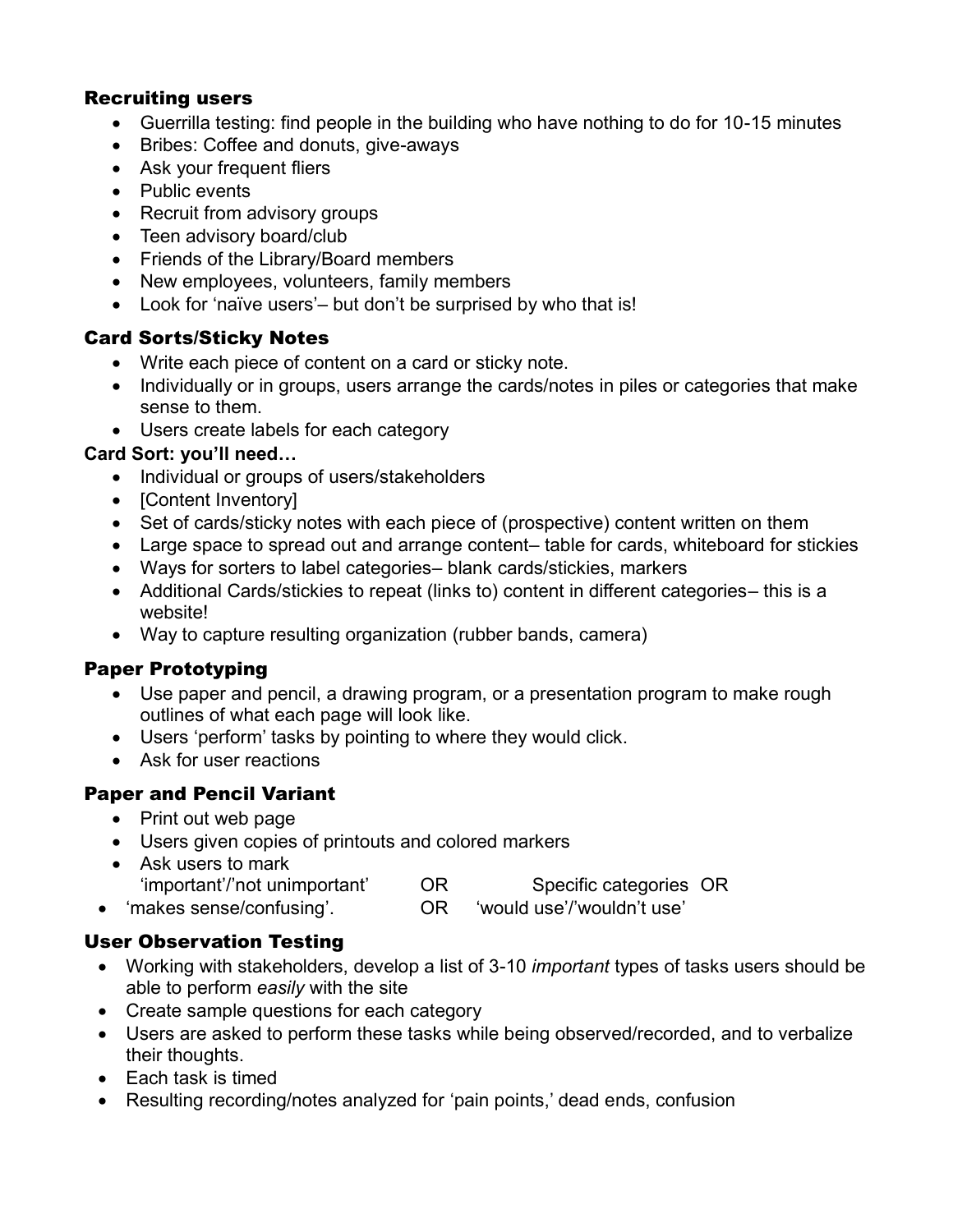#### Recruiting users

- Guerrilla testing: find people in the building who have nothing to do for 10-15 minutes
- Bribes: Coffee and donuts, give-aways
- Ask your frequent fliers
- Public events
- Recruit from advisory groups
- Teen advisory board/club
- Friends of the Library/Board members
- New employees, volunteers, family members
- Look for 'naïve users'– but don't be surprised by who that is!

## Card Sorts/Sticky Notes

- Write each piece of content on a card or sticky note.
- Individually or in groups, users arrange the cards/notes in piles or categories that make sense to them.
- Users create labels for each category

## **Card Sort: you'll need…**

- Individual or groups of users/stakeholders
- [Content Inventory]
- Set of cards/sticky notes with each piece of (prospective) content written on them
- Large space to spread out and arrange content– table for cards, whiteboard for stickies
- Ways for sorters to label categories– blank cards/stickies, markers
- Additional Cards/stickies to repeat (links to) content in different categories– this is a website!
- Way to capture resulting organization (rubber bands, camera)

# Paper Prototyping

- Use paper and pencil, a drawing program, or a presentation program to make rough outlines of what each page will look like.
- Users 'perform' tasks by pointing to where they would click.
- Ask for user reactions

# Paper and Pencil Variant

- Print out web page
- Users given copies of printouts and colored markers
- Ask users to mark 'important'/'not unimportant' OR Specific categories OR 'makes sense/confusing'. OR 'would use'/'wouldn't use'

# User Observation Testing

- Working with stakeholders, develop a list of 3-10 *important* types of tasks users should be able to perform *easily* with the site
- Create sample questions for each category
- Users are asked to perform these tasks while being observed/recorded, and to verbalize their thoughts.
- Each task is timed
- Resulting recording/notes analyzed for 'pain points,' dead ends, confusion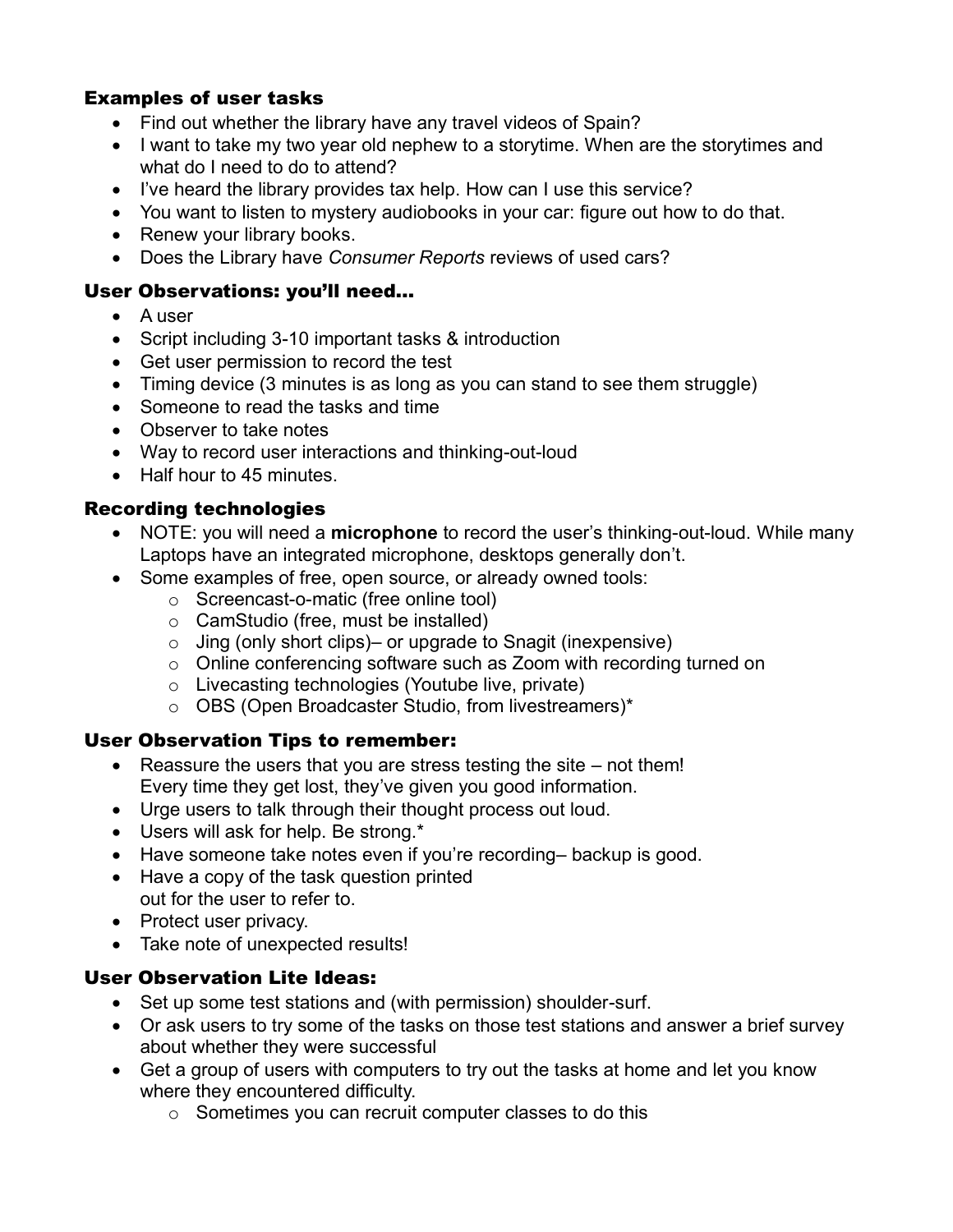## Examples of user tasks

- Find out whether the library have any travel videos of Spain?
- I want to take my two year old nephew to a storytime. When are the storytimes and what do I need to do to attend?
- I've heard the library provides tax help. How can I use this service?
- You want to listen to mystery audiobooks in your car: figure out how to do that.
- Renew your library books.
- Does the Library have *Consumer Reports* reviews of used cars?

## User Observations: you'll need…

- A user
- Script including 3-10 important tasks & introduction
- Get user permission to record the test
- Timing device (3 minutes is as long as you can stand to see them struggle)
- Someone to read the tasks and time
- Observer to take notes
- Way to record user interactions and thinking-out-loud
- Half hour to 45 minutes.

## Recording technologies

- NOTE: you will need a **microphone** to record the user's thinking-out-loud. While many Laptops have an integrated microphone, desktops generally don't.
- Some examples of free, open source, or already owned tools:
	- o Screencast-o-matic (free online tool)
	- o CamStudio (free, must be installed)
	- $\circ$  Jing (only short clips) or upgrade to Snagit (inexpensive)
	- o Online conferencing software such as Zoom with recording turned on
	- o Livecasting technologies (Youtube live, private)
	- o OBS (Open Broadcaster Studio, from livestreamers)\*

## User Observation Tips to remember:

- $\bullet$  Reassure the users that you are stress testing the site not them! Every time they get lost, they've given you good information.
- Urge users to talk through their thought process out loud.
- Users will ask for help. Be strong.\*
- Have someone take notes even if you're recording– backup is good.
- Have a copy of the task question printed out for the user to refer to.
- Protect user privacy.
- Take note of unexpected results!

## User Observation Lite Ideas:

- Set up some test stations and (with permission) shoulder-surf.
- Or ask users to try some of the tasks on those test stations and answer a brief survey about whether they were successful
- Get a group of users with computers to try out the tasks at home and let you know where they encountered difficulty.
	- $\circ$  Sometimes you can recruit computer classes to do this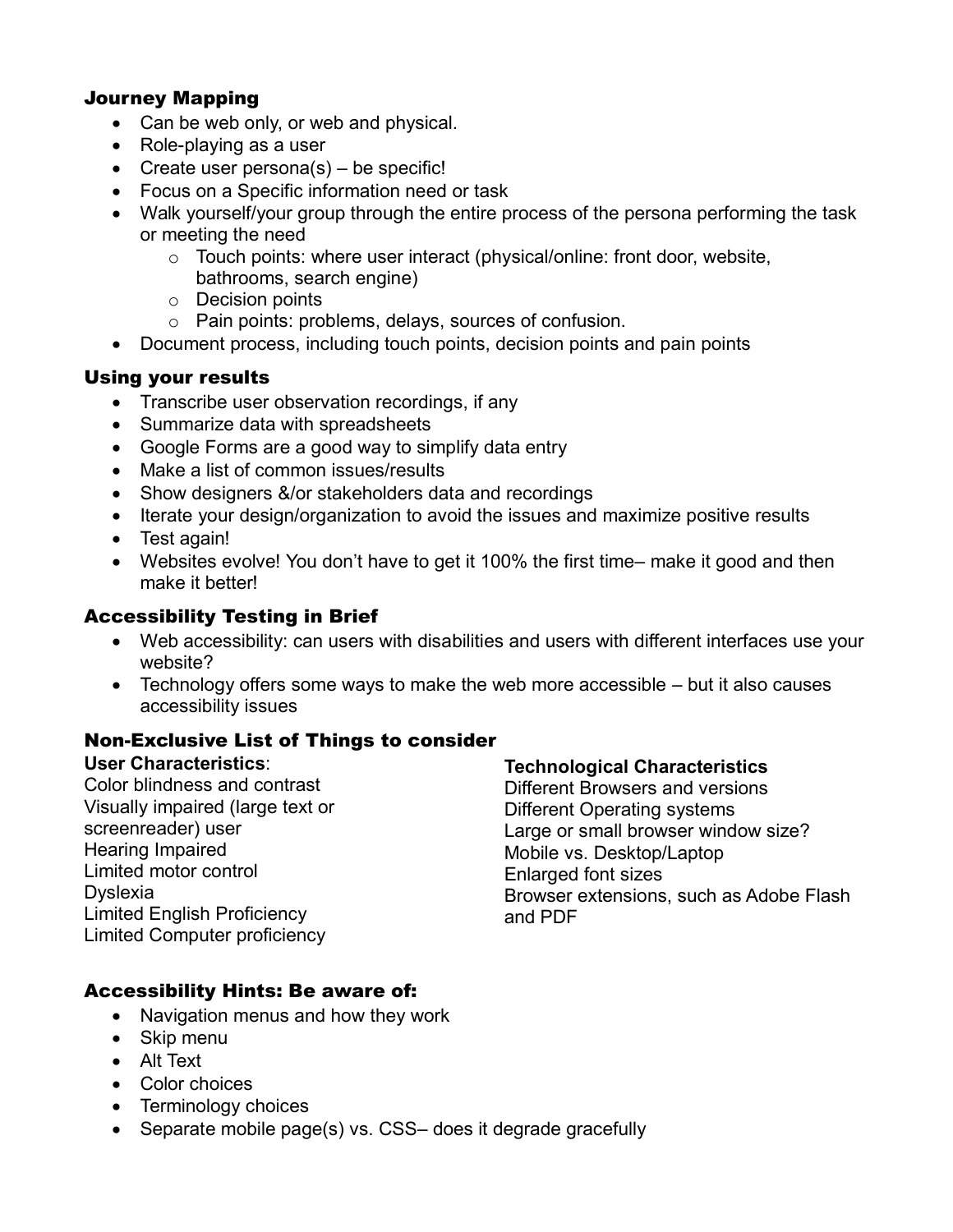## Journey Mapping

- Can be web only, or web and physical.
- Role-playing as a user
- Create user persona $(s)$  be specific!
- Focus on a Specific information need or task
- Walk yourself/your group through the entire process of the persona performing the task or meeting the need
	- o Touch points: where user interact (physical/online: front door, website, bathrooms, search engine)
	- o Decision points
	- o Pain points: problems, delays, sources of confusion.
- Document process, including touch points, decision points and pain points

#### Using your results

- Transcribe user observation recordings, if any
- Summarize data with spreadsheets
- Google Forms are a good way to simplify data entry
- Make a list of common issues/results
- Show designers &/or stakeholders data and recordings
- Iterate your design/organization to avoid the issues and maximize positive results
- Test again!
- Websites evolve! You don't have to get it 100% the first time– make it good and then make it better!

## Accessibility Testing in Brief

- Web accessibility: can users with disabilities and users with different interfaces use your website?
- Technology offers some ways to make the web more accessible but it also causes accessibility issues

## Non-Exclusive List of Things to consider

#### **User Characteristics**:

Color blindness and contrast Visually impaired (large text or screenreader) user Hearing Impaired Limited motor control Dyslexia Limited English Proficiency Limited Computer proficiency

#### **Technological Characteristics**

Different Browsers and versions Different Operating systems Large or small browser window size? Mobile vs. Desktop/Laptop Enlarged font sizes Browser extensions, such as Adobe Flash and PDF

## Accessibility Hints: Be aware of:

- Navigation menus and how they work
- Skip menu
- Alt Text
- Color choices
- Terminology choices
- Separate mobile page(s) vs. CSS– does it degrade gracefully